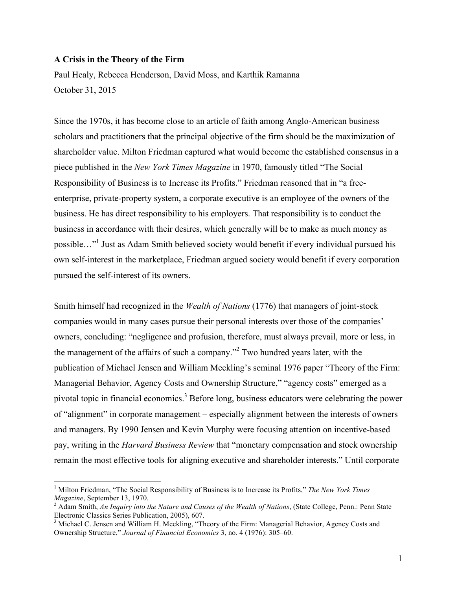## **A Crisis in the Theory of the Firm**

Paul Healy, Rebecca Henderson, David Moss, and Karthik Ramanna October 31, 2015

Since the 1970s, it has become close to an article of faith among Anglo-American business scholars and practitioners that the principal objective of the firm should be the maximization of shareholder value. Milton Friedman captured what would become the established consensus in a piece published in the *New York Times Magazine* in 1970, famously titled "The Social Responsibility of Business is to Increase its Profits." Friedman reasoned that in "a freeenterprise, private-property system, a corporate executive is an employee of the owners of the business. He has direct responsibility to his employers. That responsibility is to conduct the business in accordance with their desires, which generally will be to make as much money as possible…"1 Just as Adam Smith believed society would benefit if every individual pursued his own self-interest in the marketplace, Friedman argued society would benefit if every corporation pursued the self-interest of its owners.

Smith himself had recognized in the *Wealth of Nations* (1776) that managers of joint-stock companies would in many cases pursue their personal interests over those of the companies' owners, concluding: "negligence and profusion, therefore, must always prevail, more or less, in the management of the affairs of such a company."<sup>2</sup> Two hundred years later, with the publication of Michael Jensen and William Meckling's seminal 1976 paper "Theory of the Firm: Managerial Behavior, Agency Costs and Ownership Structure," "agency costs" emerged as a pivotal topic in financial economics.<sup>3</sup> Before long, business educators were celebrating the power of "alignment" in corporate management – especially alignment between the interests of owners and managers. By 1990 Jensen and Kevin Murphy were focusing attention on incentive-based pay, writing in the *Harvard Business Review* that "monetary compensation and stock ownership remain the most effective tools for aligning executive and shareholder interests." Until corporate

 <sup>1</sup> Milton Friedman, "The Social Responsibility of Business is to Increase its Profits," *The New York Times* 

*Magazine*, September 13, 1970.<br><sup>2</sup> Adam Smith, *An Inquiry into the Nature and Causes of the Wealth of Nations*, (State College, Penn.: Penn State Electronic Classics Series Publication, 2005), 607.

<sup>&</sup>lt;sup>3</sup> Michael C. Jensen and William H. Meckling, "Theory of the Firm: Managerial Behavior, Agency Costs and Ownership Structure," *Journal of Financial Economics* 3, no. 4 (1976): 305–60.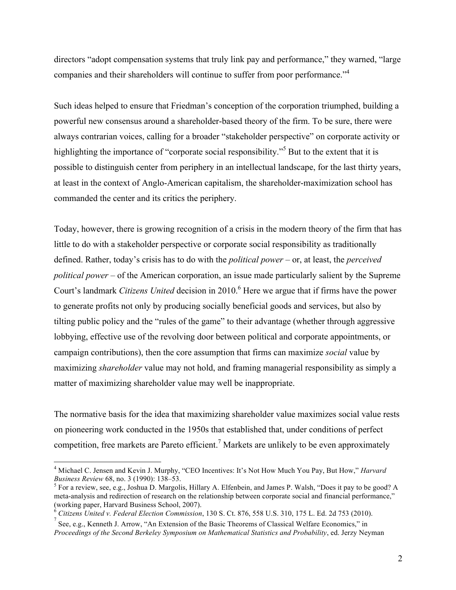directors "adopt compensation systems that truly link pay and performance," they warned, "large companies and their shareholders will continue to suffer from poor performance."<sup>4</sup>

Such ideas helped to ensure that Friedman's conception of the corporation triumphed, building a powerful new consensus around a shareholder-based theory of the firm. To be sure, there were always contrarian voices, calling for a broader "stakeholder perspective" on corporate activity or highlighting the importance of "corporate social responsibility."<sup>5</sup> But to the extent that it is possible to distinguish center from periphery in an intellectual landscape, for the last thirty years, at least in the context of Anglo-American capitalism, the shareholder-maximization school has commanded the center and its critics the periphery.

Today, however, there is growing recognition of a crisis in the modern theory of the firm that has little to do with a stakeholder perspective or corporate social responsibility as traditionally defined. Rather, today's crisis has to do with the *political power* – or, at least, the *perceived political power* – of the American corporation, an issue made particularly salient by the Supreme Court's landmark *Citizens United* decision in 2010.<sup>6</sup> Here we argue that if firms have the power to generate profits not only by producing socially beneficial goods and services, but also by tilting public policy and the "rules of the game" to their advantage (whether through aggressive lobbying, effective use of the revolving door between political and corporate appointments, or campaign contributions), then the core assumption that firms can maximize *social* value by maximizing *shareholder* value may not hold, and framing managerial responsibility as simply a matter of maximizing shareholder value may well be inappropriate.

The normative basis for the idea that maximizing shareholder value maximizes social value rests on pioneering work conducted in the 1950s that established that, under conditions of perfect competition, free markets are Pareto efficient.<sup>7</sup> Markets are unlikely to be even approximately

 <sup>4</sup> Michael C. Jensen and Kevin J. Murphy, "CEO Incentives: It's Not How Much You Pay, But How," *Harvard Business Review* 68, no. 3 (1990): 138–53.<br><sup>5</sup> For a review, see, e.g., Joshua D. Margolis, Hillary A. Elfenbein, and James P. Walsh, "Does it pay to be good? A

meta-analysis and redirection of research on the relationship between corporate social and financial performance," (working paper, Harvard Business School, 2007).

<sup>6</sup> *Citizens United v. Federal Election Commission*, 130 S. Ct. 876, 558 U.S. 310, 175 L. Ed. 2d 753 (2010). 7

See, e.g., Kenneth J. Arrow, "An Extension of the Basic Theorems of Classical Welfare Economics," in *Proceedings of the Second Berkeley Symposium on Mathematical Statistics and Probability*, ed. Jerzy Neyman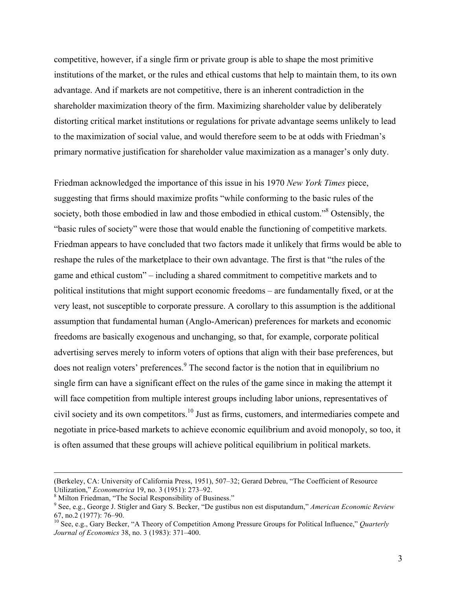competitive, however, if a single firm or private group is able to shape the most primitive institutions of the market, or the rules and ethical customs that help to maintain them, to its own advantage. And if markets are not competitive, there is an inherent contradiction in the shareholder maximization theory of the firm. Maximizing shareholder value by deliberately distorting critical market institutions or regulations for private advantage seems unlikely to lead to the maximization of social value, and would therefore seem to be at odds with Friedman's primary normative justification for shareholder value maximization as a manager's only duty.

Friedman acknowledged the importance of this issue in his 1970 *New York Times* piece, suggesting that firms should maximize profits "while conforming to the basic rules of the society, both those embodied in law and those embodied in ethical custom."<sup>8</sup> Ostensibly, the "basic rules of society" were those that would enable the functioning of competitive markets. Friedman appears to have concluded that two factors made it unlikely that firms would be able to reshape the rules of the marketplace to their own advantage. The first is that "the rules of the game and ethical custom" – including a shared commitment to competitive markets and to political institutions that might support economic freedoms – are fundamentally fixed, or at the very least, not susceptible to corporate pressure. A corollary to this assumption is the additional assumption that fundamental human (Anglo-American) preferences for markets and economic freedoms are basically exogenous and unchanging, so that, for example, corporate political advertising serves merely to inform voters of options that align with their base preferences, but does not realign voters' preferences.<sup>9</sup> The second factor is the notion that in equilibrium no single firm can have a significant effect on the rules of the game since in making the attempt it will face competition from multiple interest groups including labor unions, representatives of civil society and its own competitors.10 Just as firms, customers, and intermediaries compete and negotiate in price-based markets to achieve economic equilibrium and avoid monopoly, so too, it is often assumed that these groups will achieve political equilibrium in political markets.

 $\overline{a}$ 

<sup>(</sup>Berkeley, CA: University of California Press, 1951), 507–32; Gerard Debreu, "The Coefficient of Resource Utilization," *Econometrica* 19, no. 3 (1951): 273–92.<br><sup>8</sup> Milton Friedman, "The Social Responsibility of Business."

<sup>9</sup> See, e.g., George J. Stigler and Gary S. Becker, "De gustibus non est disputandum," *American Economic Review*  67, no.2 (1977): 76–90. <sup>10</sup> See, e.g., Gary Becker, "A Theory of Competition Among Pressure Groups for Political Influence," *Quarterly* 

*Journal of Economics* 38, no. 3 (1983): 371–400.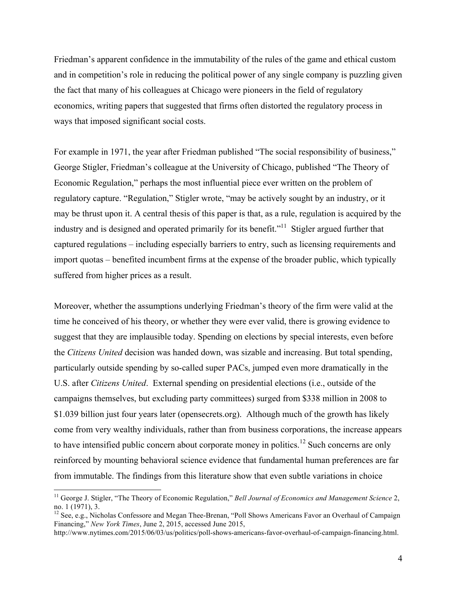Friedman's apparent confidence in the immutability of the rules of the game and ethical custom and in competition's role in reducing the political power of any single company is puzzling given the fact that many of his colleagues at Chicago were pioneers in the field of regulatory economics, writing papers that suggested that firms often distorted the regulatory process in ways that imposed significant social costs.

For example in 1971, the year after Friedman published "The social responsibility of business," George Stigler, Friedman's colleague at the University of Chicago, published "The Theory of Economic Regulation," perhaps the most influential piece ever written on the problem of regulatory capture. "Regulation," Stigler wrote, "may be actively sought by an industry, or it may be thrust upon it. A central thesis of this paper is that, as a rule, regulation is acquired by the industry and is designed and operated primarily for its benefit."<sup>11</sup> Stigler argued further that captured regulations – including especially barriers to entry, such as licensing requirements and import quotas – benefited incumbent firms at the expense of the broader public, which typically suffered from higher prices as a result.

Moreover, whether the assumptions underlying Friedman's theory of the firm were valid at the time he conceived of his theory, or whether they were ever valid, there is growing evidence to suggest that they are implausible today. Spending on elections by special interests, even before the *Citizens United* decision was handed down, was sizable and increasing. But total spending, particularly outside spending by so-called super PACs, jumped even more dramatically in the U.S. after *Citizens United*. External spending on presidential elections (i.e., outside of the campaigns themselves, but excluding party committees) surged from \$338 million in 2008 to \$1.039 billion just four years later (opensecrets.org). Although much of the growth has likely come from very wealthy individuals, rather than from business corporations, the increase appears to have intensified public concern about corporate money in politics.<sup>12</sup> Such concerns are only reinforced by mounting behavioral science evidence that fundamental human preferences are far from immutable. The findings from this literature show that even subtle variations in choice

<sup>&</sup>lt;sup>11</sup> George J. Stigler, "The Theory of Economic Regulation," *Bell Journal of Economics and Management Science* 2, no. 1 (1971), 3.

<sup>&</sup>lt;sup>12</sup> See, e.g., Nicholas Confessore and Megan Thee-Brenan, "Poll Shows Americans Favor an Overhaul of Campaign Financing," *New York Times*, June 2, 2015, accessed June 2015,

http://www.nytimes.com/2015/06/03/us/politics/poll-shows-americans-favor-overhaul-of-campaign-financing.html.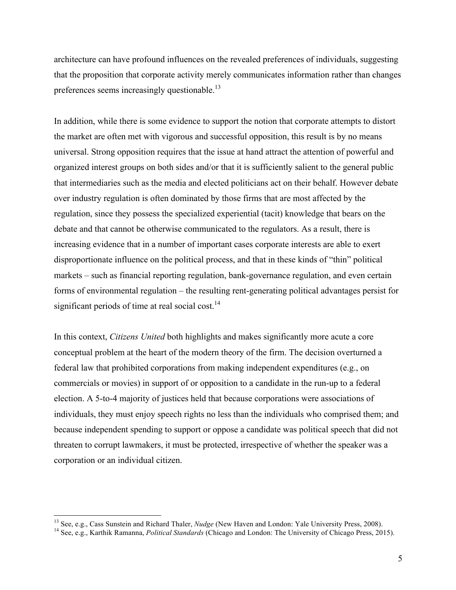architecture can have profound influences on the revealed preferences of individuals, suggesting that the proposition that corporate activity merely communicates information rather than changes preferences seems increasingly questionable.<sup>13</sup>

In addition, while there is some evidence to support the notion that corporate attempts to distort the market are often met with vigorous and successful opposition, this result is by no means universal. Strong opposition requires that the issue at hand attract the attention of powerful and organized interest groups on both sides and/or that it is sufficiently salient to the general public that intermediaries such as the media and elected politicians act on their behalf. However debate over industry regulation is often dominated by those firms that are most affected by the regulation, since they possess the specialized experiential (tacit) knowledge that bears on the debate and that cannot be otherwise communicated to the regulators. As a result, there is increasing evidence that in a number of important cases corporate interests are able to exert disproportionate influence on the political process, and that in these kinds of "thin" political markets – such as financial reporting regulation, bank-governance regulation, and even certain forms of environmental regulation – the resulting rent-generating political advantages persist for significant periods of time at real social cost.<sup>14</sup>

In this context, *Citizens United* both highlights and makes significantly more acute a core conceptual problem at the heart of the modern theory of the firm. The decision overturned a federal law that prohibited corporations from making independent expenditures (e.g., on commercials or movies) in support of or opposition to a candidate in the run-up to a federal election. A 5-to-4 majority of justices held that because corporations were associations of individuals, they must enjoy speech rights no less than the individuals who comprised them; and because independent spending to support or oppose a candidate was political speech that did not threaten to corrupt lawmakers, it must be protected, irrespective of whether the speaker was a corporation or an individual citizen.

<sup>&</sup>lt;sup>13</sup> See, e.g., Cass Sunstein and Richard Thaler, *Nudge* (New Haven and London: Yale University Press, 2008).<br><sup>14</sup> See, e.g., Karthik Ramanna, *Political Standards* (Chicago and London: The University of Chicago Press, 2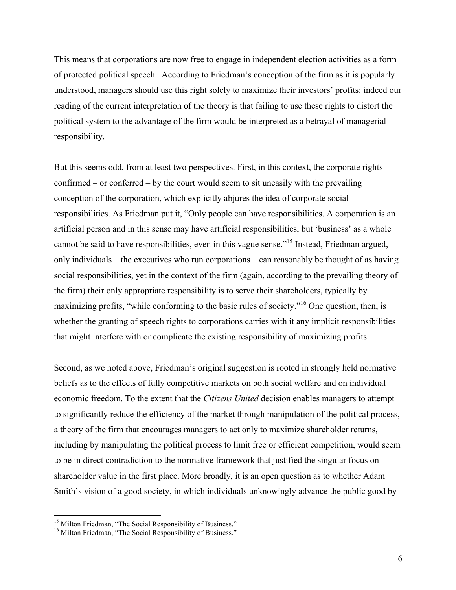This means that corporations are now free to engage in independent election activities as a form of protected political speech. According to Friedman's conception of the firm as it is popularly understood, managers should use this right solely to maximize their investors' profits: indeed our reading of the current interpretation of the theory is that failing to use these rights to distort the political system to the advantage of the firm would be interpreted as a betrayal of managerial responsibility.

But this seems odd, from at least two perspectives. First, in this context, the corporate rights confirmed – or conferred – by the court would seem to sit uneasily with the prevailing conception of the corporation, which explicitly abjures the idea of corporate social responsibilities. As Friedman put it, "Only people can have responsibilities. A corporation is an artificial person and in this sense may have artificial responsibilities, but 'business' as a whole cannot be said to have responsibilities, even in this vague sense."15 Instead, Friedman argued, only individuals – the executives who run corporations – can reasonably be thought of as having social responsibilities, yet in the context of the firm (again, according to the prevailing theory of the firm) their only appropriate responsibility is to serve their shareholders, typically by maximizing profits, "while conforming to the basic rules of society."<sup>16</sup> One question, then, is whether the granting of speech rights to corporations carries with it any implicit responsibilities that might interfere with or complicate the existing responsibility of maximizing profits.

Second, as we noted above, Friedman's original suggestion is rooted in strongly held normative beliefs as to the effects of fully competitive markets on both social welfare and on individual economic freedom. To the extent that the *Citizens United* decision enables managers to attempt to significantly reduce the efficiency of the market through manipulation of the political process, a theory of the firm that encourages managers to act only to maximize shareholder returns, including by manipulating the political process to limit free or efficient competition, would seem to be in direct contradiction to the normative framework that justified the singular focus on shareholder value in the first place. More broadly, it is an open question as to whether Adam Smith's vision of a good society, in which individuals unknowingly advance the public good by

 $15$  Milton Friedman, "The Social Responsibility of Business."  $16$  Milton Friedman, "The Social Responsibility of Business."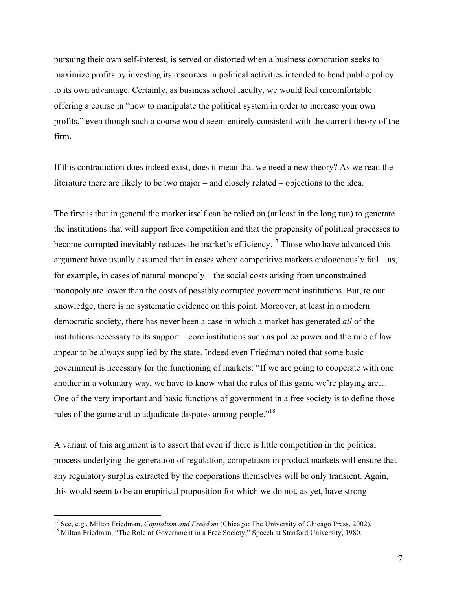pursuing their own self-interest, is served or distorted when a business corporation seeks to maximize profits by investing its resources in political activities intended to bend public policy to its own advantage. Certainly, as business school faculty, we would feel uncomfortable offering a course in "how to manipulate the political system in order to increase your own profits," even though such a course would seem entirely consistent with the current theory of the firm.

If this contradiction does indeed exist, does it mean that we need a new theory? As we read the literature there are likely to be two major – and closely related – objections to the idea.

The first is that in general the market itself can be relied on (at least in the long run) to generate the institutions that will support free competition and that the propensity of political processes to become corrupted inevitably reduces the market's efficiency.<sup>17</sup> Those who have advanced this argument have usually assumed that in cases where competitive markets endogenously fail – as, for example, in cases of natural monopoly – the social costs arising from unconstrained monopoly are lower than the costs of possibly corrupted government institutions. But, to our knowledge, there is no systematic evidence on this point. Moreover, at least in a modern democratic society, there has never been a case in which a market has generated *all* of the institutions necessary to its support – core institutions such as police power and the rule of law appear to be always supplied by the state. Indeed even Friedman noted that some basic government is necessary for the functioning of markets: "If we are going to cooperate with one another in a voluntary way, we have to know what the rules of this game we're playing are… One of the very important and basic functions of government in a free society is to define those rules of the game and to adjudicate disputes among people."<sup>18</sup>

A variant of this argument is to assert that even if there is little competition in the political process underlying the generation of regulation, competition in product markets will ensure that any regulatory surplus extracted by the corporations themselves will be only transient. Again, this would seem to be an empirical proposition for which we do not, as yet, have strong

<sup>&</sup>lt;sup>17</sup> See, e.g., Milton Friedman, *Capitalism and Freedom* (Chicago: The University of Chicago Press, 2002).<br><sup>18</sup> Milton Friedman, "The Role of Government in a Free Society," Speech at Stanford University, 1980.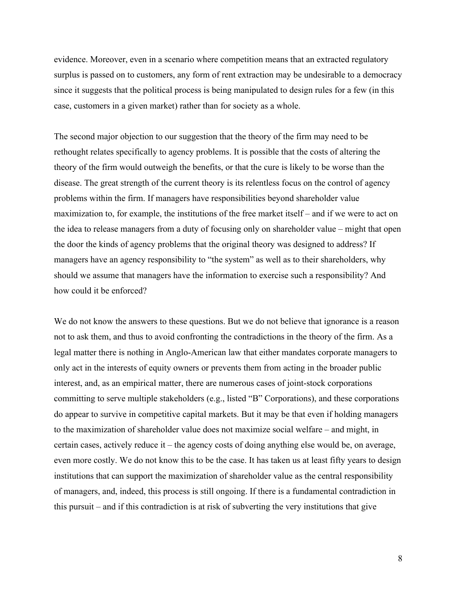evidence. Moreover, even in a scenario where competition means that an extracted regulatory surplus is passed on to customers, any form of rent extraction may be undesirable to a democracy since it suggests that the political process is being manipulated to design rules for a few (in this case, customers in a given market) rather than for society as a whole.

The second major objection to our suggestion that the theory of the firm may need to be rethought relates specifically to agency problems. It is possible that the costs of altering the theory of the firm would outweigh the benefits, or that the cure is likely to be worse than the disease. The great strength of the current theory is its relentless focus on the control of agency problems within the firm. If managers have responsibilities beyond shareholder value maximization to, for example, the institutions of the free market itself – and if we were to act on the idea to release managers from a duty of focusing only on shareholder value – might that open the door the kinds of agency problems that the original theory was designed to address? If managers have an agency responsibility to "the system" as well as to their shareholders, why should we assume that managers have the information to exercise such a responsibility? And how could it be enforced?

We do not know the answers to these questions. But we do not believe that ignorance is a reason not to ask them, and thus to avoid confronting the contradictions in the theory of the firm. As a legal matter there is nothing in Anglo-American law that either mandates corporate managers to only act in the interests of equity owners or prevents them from acting in the broader public interest, and, as an empirical matter, there are numerous cases of joint-stock corporations committing to serve multiple stakeholders (e.g., listed "B" Corporations), and these corporations do appear to survive in competitive capital markets. But it may be that even if holding managers to the maximization of shareholder value does not maximize social welfare – and might, in certain cases, actively reduce it – the agency costs of doing anything else would be, on average, even more costly. We do not know this to be the case. It has taken us at least fifty years to design institutions that can support the maximization of shareholder value as the central responsibility of managers, and, indeed, this process is still ongoing. If there is a fundamental contradiction in this pursuit – and if this contradiction is at risk of subverting the very institutions that give